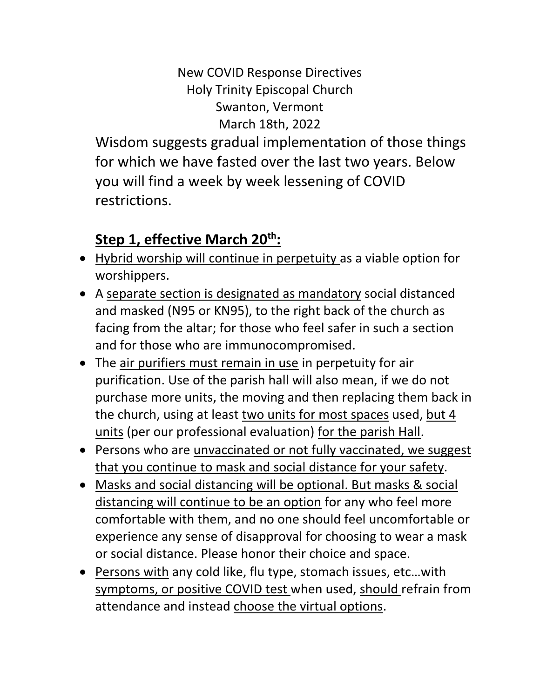### New COVID Response Directives Holy Trinity Episcopal Church Swanton, Vermont March 18th, 2022

Wisdom suggests gradual implementation of those things for which we have fasted over the last two years. Below you will find a week by week lessening of COVID restrictions.

## **Step 1, effective March 20th:**

- Hybrid worship will continue in perpetuity as a viable option for worshippers.
- A separate section is designated as mandatory social distanced and masked (N95 or KN95), to the right back of the church as facing from the altar; for those who feel safer in such a section and for those who are immunocompromised.
- The air purifiers must remain in use in perpetuity for air purification. Use of the parish hall will also mean, if we do not purchase more units, the moving and then replacing them back in the church, using at least two units for most spaces used, but 4 units (per our professional evaluation) for the parish Hall.
- Persons who are unvaccinated or not fully vaccinated, we suggest that you continue to mask and social distance for your safety.
- Masks and social distancing will be optional. But masks & social distancing will continue to be an option for any who feel more comfortable with them, and no one should feel uncomfortable or experience any sense of disapproval for choosing to wear a mask or social distance. Please honor their choice and space.
- Persons with any cold like, flu type, stomach issues, etc…with symptoms, or positive COVID test when used, should refrain from attendance and instead choose the virtual options.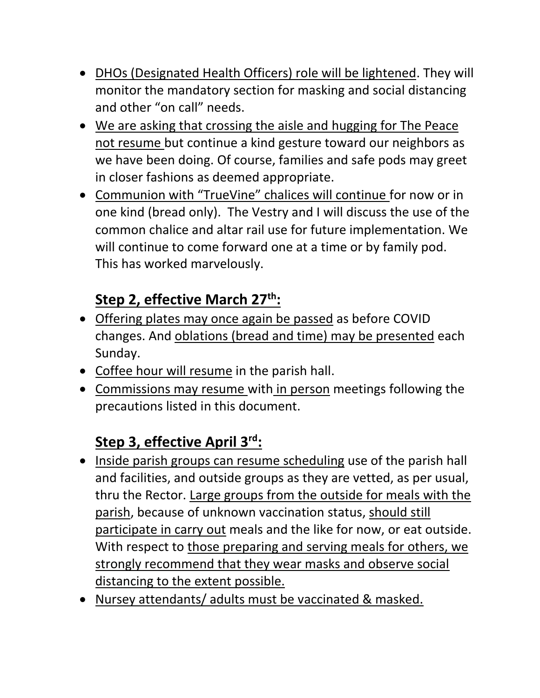- DHOs (Designated Health Officers) role will be lightened. They will monitor the mandatory section for masking and social distancing and other "on call" needs.
- We are asking that crossing the aisle and hugging for The Peace not resume but continue a kind gesture toward our neighbors as we have been doing. Of course, families and safe pods may greet in closer fashions as deemed appropriate.
- Communion with "TrueVine" chalices will continue for now or in one kind (bread only). The Vestry and I will discuss the use of the common chalice and altar rail use for future implementation. We will continue to come forward one at a time or by family pod. This has worked marvelously.

# **Step 2, effective March 27th:**

- Offering plates may once again be passed as before COVID changes. And oblations (bread and time) may be presented each Sunday.
- Coffee hour will resume in the parish hall.
- Commissions may resume with in person meetings following the precautions listed in this document.

# **Step 3, effective April 3rd:**

- Inside parish groups can resume scheduling use of the parish hall and facilities, and outside groups as they are vetted, as per usual, thru the Rector. Large groups from the outside for meals with the parish, because of unknown vaccination status, should still participate in carry out meals and the like for now, or eat outside. With respect to those preparing and serving meals for others, we strongly recommend that they wear masks and observe social distancing to the extent possible.
- Nursey attendants/ adults must be vaccinated & masked.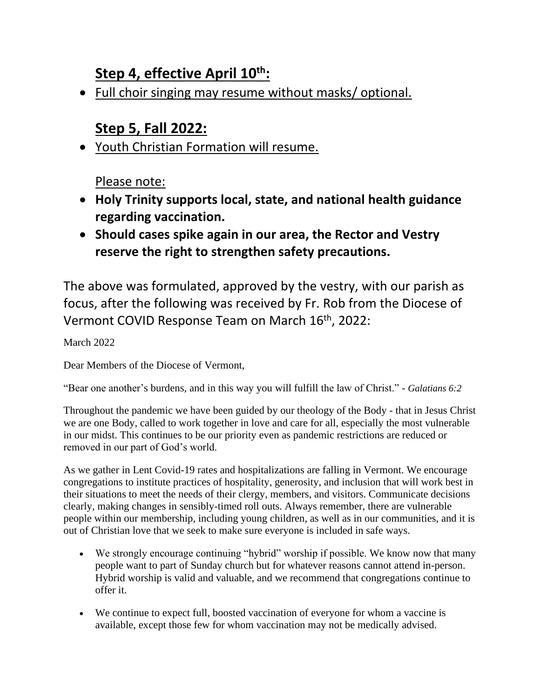### **Step 4, effective April 10th:**

• Full choir singing may resume without masks/ optional.

#### **Step 5, Fall 2022:**

• Youth Christian Formation will resume.

Please note:

- **Holy Trinity supports local, state, and national health guidance regarding vaccination.**
- **Should cases spike again in our area, the Rector and Vestry reserve the right to strengthen safety precautions.**

The above was formulated, approved by the vestry, with our parish as focus, after the following was received by Fr. Rob from the Diocese of Vermont COVID Response Team on March 16<sup>th</sup>, 2022:

March 2022

Dear Members of the Diocese of Vermont,

"Bear one another's burdens, and in this way you will fulfill the law of Christ." - *Galatians 6:2*

Throughout the pandemic we have been guided by our theology of the Body - that in Jesus Christ we are one Body, called to work together in love and care for all, especially the most vulnerable in our midst. This continues to be our priority even as pandemic restrictions are reduced or removed in our part of God's world.

As we gather in Lent Covid-19 rates and hospitalizations are falling in Vermont. We encourage congregations to institute practices of hospitality, generosity, and inclusion that will work best in their situations to meet the needs of their clergy, members, and visitors. Communicate decisions clearly, making changes in sensibly-timed roll outs. Always remember, there are vulnerable people within our membership, including young children, as well as in our communities, and it is out of Christian love that we seek to make sure everyone is included in safe ways.

- We strongly encourage continuing "hybrid" worship if possible. We know now that many people want to part of Sunday church but for whatever reasons cannot attend in-person. Hybrid worship is valid and valuable, and we recommend that congregations continue to offer it.
- We continue to expect full, boosted vaccination of everyone for whom a vaccine is available, except those few for whom vaccination may not be medically advised.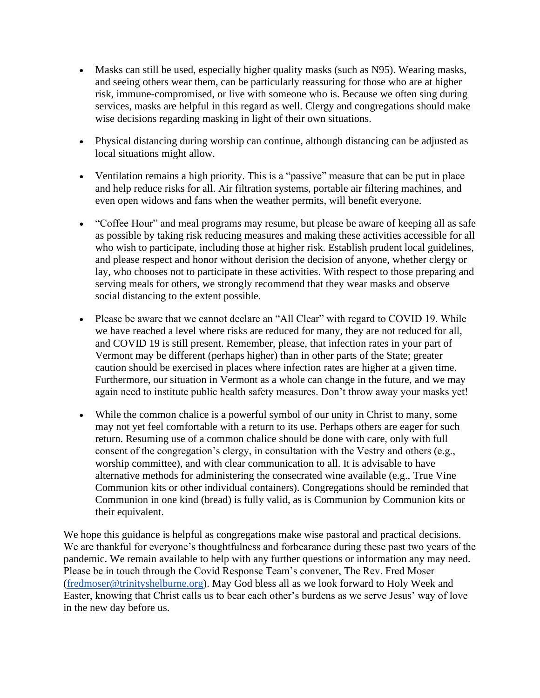- Masks can still be used, especially higher quality masks (such as N95). Wearing masks, and seeing others wear them, can be particularly reassuring for those who are at higher risk, immune-compromised, or live with someone who is. Because we often sing during services, masks are helpful in this regard as well. Clergy and congregations should make wise decisions regarding masking in light of their own situations.
- Physical distancing during worship can continue, although distancing can be adjusted as local situations might allow.
- Ventilation remains a high priority. This is a "passive" measure that can be put in place and help reduce risks for all. Air filtration systems, portable air filtering machines, and even open widows and fans when the weather permits, will benefit everyone.
- "Coffee Hour" and meal programs may resume, but please be aware of keeping all as safe as possible by taking risk reducing measures and making these activities accessible for all who wish to participate, including those at higher risk. Establish prudent local guidelines, and please respect and honor without derision the decision of anyone, whether clergy or lay, who chooses not to participate in these activities. With respect to those preparing and serving meals for others, we strongly recommend that they wear masks and observe social distancing to the extent possible.
- Please be aware that we cannot declare an "All Clear" with regard to COVID 19. While we have reached a level where risks are reduced for many, they are not reduced for all, and COVID 19 is still present. Remember, please, that infection rates in your part of Vermont may be different (perhaps higher) than in other parts of the State; greater caution should be exercised in places where infection rates are higher at a given time. Furthermore, our situation in Vermont as a whole can change in the future, and we may again need to institute public health safety measures. Don't throw away your masks yet!
- While the common chalice is a powerful symbol of our unity in Christ to many, some may not yet feel comfortable with a return to its use. Perhaps others are eager for such return. Resuming use of a common chalice should be done with care, only with full consent of the congregation's clergy, in consultation with the Vestry and others (e.g., worship committee), and with clear communication to all. It is advisable to have alternative methods for administering the consecrated wine available (e.g., True Vine Communion kits or other individual containers). Congregations should be reminded that Communion in one kind (bread) is fully valid, as is Communion by Communion kits or their equivalent.

We hope this guidance is helpful as congregations make wise pastoral and practical decisions. We are thankful for everyone's thoughtfulness and forbearance during these past two years of the pandemic. We remain available to help with any further questions or information any may need. Please be in touch through the Covid Response Team's convener, The Rev. Fred Moser [\(fredmoser@trinityshelburne.org\)](mailto:fredmoser@trinityshelburne.org). May God bless all as we look forward to Holy Week and Easter, knowing that Christ calls us to bear each other's burdens as we serve Jesus' way of love in the new day before us.